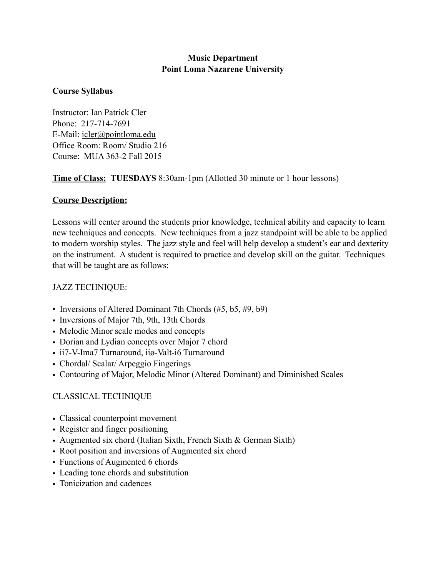### **Music Department Point Loma Nazarene University**

#### **Course Syllabus**

Instructor: Ian Patrick Cler Phone: 217-714-7691 E-Mail: [icler@pointloma.edu](mailto:icler@pointloma.edu) Office Room: Room/ Studio 216 Course: MUA 363-2 Fall 2015

**Time of Class: TUESDAYS** 8:30am-1pm (Allotted 30 minute or 1 hour lessons)

### **Course Description:**

Lessons will center around the students prior knowledge, technical ability and capacity to learn new techniques and concepts. New techniques from a jazz standpoint will be able to be applied to modern worship styles. The jazz style and feel will help develop a student's ear and dexterity on the instrument. A student is required to practice and develop skill on the guitar. Techniques that will be taught are as follows:

# JAZZ TECHNIQUE:

- Inversions of Altered Dominant 7th Chords (#5, b5, #9, b9)
- Inversions of Major 7th, 9th, 13th Chords
- Melodic Minor scale modes and concepts
- Dorian and Lydian concepts over Major 7 chord
- ii7-V-Ima7 Turnaround, iiø-Valt-i6 Turnaround
- Chordal/ Scalar/ Arpeggio Fingerings
- Contouring of Major, Melodic Minor (Altered Dominant) and Diminished Scales

# CLASSICAL TECHNIQUE

- Classical counterpoint movement
- Register and finger positioning
- Augmented six chord (Italian Sixth, French Sixth & German Sixth)
- Root position and inversions of Augmented six chord
- Functions of Augmented 6 chords
- Leading tone chords and substitution
- Tonicization and cadences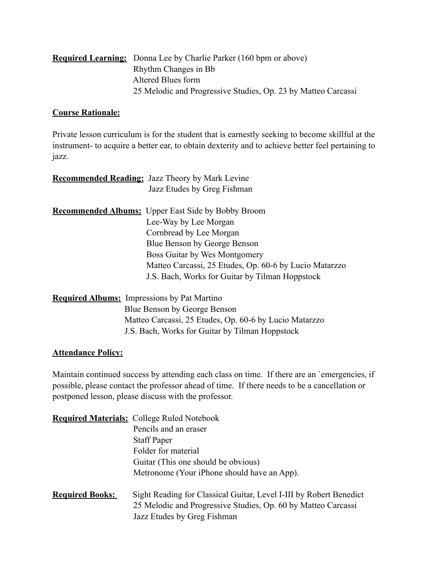| <b>Required Learning:</b> Donna Lee by Charlie Parker (160 bpm or above) |
|--------------------------------------------------------------------------|
| Rhythm Changes in Bb                                                     |
| Altered Blues form                                                       |
| 25 Melodic and Progressive Studies, Op. 23 by Matteo Carcassi            |

#### **Course Rationale:**

Private lesson curriculum is for the student that is earnestly seeking to become skillful at the instrument- to acquire a better ear, to obtain dexterity and to achieve better feel pertaining to jazz.

|                                                    | <b>Recommended Reading:</b> Jazz Theory by Mark Levine    |
|----------------------------------------------------|-----------------------------------------------------------|
|                                                    | Jazz Etudes by Greg Fishman                               |
|                                                    |                                                           |
|                                                    | <b>Recommended Albums:</b> Upper East Side by Bobby Broom |
|                                                    | Lee-Way by Lee Morgan                                     |
|                                                    | Cornbread by Lee Morgan                                   |
|                                                    | Blue Benson by George Benson                              |
|                                                    | Boss Guitar by Wes Montgomery                             |
|                                                    | Matteo Carcassi, 25 Etudes, Op. 60-6 by Lucio Matarzzo    |
|                                                    | J.S. Bach, Works for Guitar by Tilman Hoppstock           |
| <b>Required Albums:</b> Impressions by Pat Martino |                                                           |
|                                                    | Blue Benson by George Benson                              |
|                                                    |                                                           |

# **Attendance Policy:**

Maintain continued success by attending each class on time. If there are an `emergencies, if possible, please contact the professor ahead of time. If there needs to be a cancellation or postponed lesson, please discuss with the professor.

J.S. Bach, Works for Guitar by Tilman Hoppstock

Matteo Carcassi, 25 Etudes, Op. 60-6 by Lucio Matarzzo

|                        | <b>Required Materials:</b> College Ruled Notebook                                                                                                                  |
|------------------------|--------------------------------------------------------------------------------------------------------------------------------------------------------------------|
|                        | Pencils and an eraser                                                                                                                                              |
|                        | <b>Staff Paper</b>                                                                                                                                                 |
|                        | Folder for material                                                                                                                                                |
|                        | Guitar (This one should be obvious)                                                                                                                                |
|                        | Metronome (Your iPhone should have an App).                                                                                                                        |
| <b>Required Books:</b> | Sight Reading for Classical Guitar, Level I-III by Robert Benedict<br>25 Melodic and Progressive Studies, Op. 60 by Matteo Carcassi<br>Jazz Etudes by Greg Fishman |